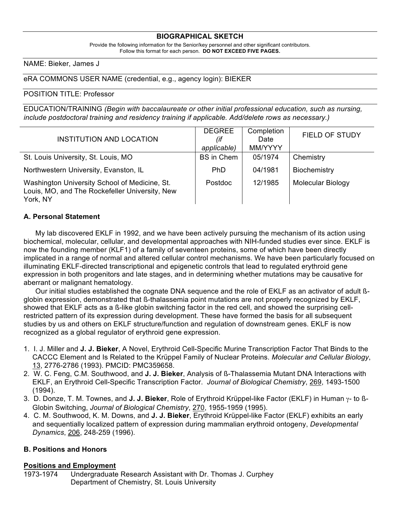## **BIOGRAPHICAL SKETCH**

Provide the following information for the Senior/key personnel and other significant contributors. Follow this format for each person. **DO NOT EXCEED FIVE PAGES.**

### NAME: Bieker, James J

eRA COMMONS USER NAME (credential, e.g., agency login): BIEKER

#### POSITION TITLE: Professor

EDUCATION/TRAINING *(Begin with baccalaureate or other initial professional education, such as nursing, include postdoctoral training and residency training if applicable. Add/delete rows as necessary.)*

| INSTITUTION AND LOCATION                                                                                    | <b>DEGREE</b><br>(if<br>applicable) | Completion<br>Date<br>MM/YYYY | <b>FIELD OF STUDY</b>    |
|-------------------------------------------------------------------------------------------------------------|-------------------------------------|-------------------------------|--------------------------|
| St. Louis University, St. Louis, MO                                                                         | <b>BS</b> in Chem                   | 05/1974                       | Chemistry                |
| Northwestern University, Evanston, IL                                                                       | Ph <sub>D</sub>                     | 04/1981                       | Biochemistry             |
| Washington University School of Medicine, St.<br>Louis, MO, and The Rockefeller University, New<br>York, NY | Postdoc                             | 12/1985                       | <b>Molecular Biology</b> |

## **A. Personal Statement**

My lab discovered EKLF in 1992, and we have been actively pursuing the mechanism of its action using biochemical, molecular, cellular, and developmental approaches with NIH-funded studies ever since. EKLF is now the founding member (KLF1) of a family of seventeen proteins, some of which have been directly implicated in a range of normal and altered cellular control mechanisms. We have been particularly focused on illuminating EKLF-directed transcriptional and epigenetic controls that lead to regulated erythroid gene expression in both progenitors and late stages, and in determining whether mutations may be causative for aberrant or malignant hematology.

Our initial studies established the cognate DNA sequence and the role of EKLF as an activator of adult ßglobin expression, demonstrated that ß-thalassemia point mutations are not properly recognized by EKLF, showed that EKLF acts as a ß-like globin switching factor in the red cell, and showed the surprising cellrestricted pattern of its expression during development. These have formed the basis for all subsequent studies by us and others on EKLF structure/function and regulation of downstream genes. EKLF is now recognized as a global regulator of erythroid gene expression.

- 1. I. J. Miller and **J. J. Bieker**, A Novel, Erythroid Cell-Specific Murine Transcription Factor That Binds to the CACCC Element and Is Related to the Krüppel Family of Nuclear Proteins. *Molecular and Cellular Biology*, 13, 2776-2786 (1993). PMCID: PMC359658.
- 2. W. C. Feng, C.M. Southwood, and **J. J. Bieker**, Analysis of ß-Thalassemia Mutant DNA Interactions with EKLF, an Erythroid Cell-Specific Transcription Factor. *Journal of Biological Chemistry*, 269, 1493-1500 (1994).
- 3. D. Donze, T. M. Townes, and **J. J. Bieker**, Role of Erythroid Krüppel-like Factor (EKLF) in Human γ- to ß-Globin Switching, *Journal of Biological Chemistry*, 270, 1955-1959 (1995).
- 4. C. M. Southwood, K. M. Downs, and **J. J. Bieker**, Erythroid Krüppel-like Factor (EKLF) exhibits an early and sequentially localized pattern of expression during mammalian erythroid ontogeny, *Developmental Dynamics*, 206, 248-259 (1996).

## **B. Positions and Honors**

#### **Positions and Employment**

1973-1974 Undergraduate Research Assistant with Dr. Thomas J. Curphey Department of Chemistry, St. Louis University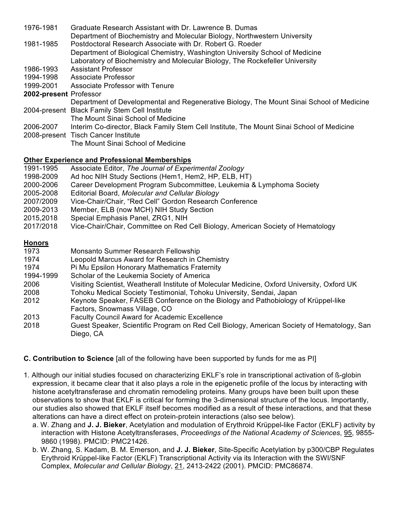| 1976-1981              | Graduate Research Assistant with Dr. Lawrence B. Dumas                                    |
|------------------------|-------------------------------------------------------------------------------------------|
|                        | Department of Biochemistry and Molecular Biology, Northwestern University                 |
| 1981-1985              | Postdoctoral Research Associate with Dr. Robert G. Roeder                                 |
|                        | Department of Biological Chemistry, Washington University School of Medicine              |
|                        | Laboratory of Biochemistry and Molecular Biology, The Rockefeller University              |
| 1986-1993              | <b>Assistant Professor</b>                                                                |
| 1994-1998              | Associate Professor                                                                       |
| 1999-2001              | Associate Professor with Tenure                                                           |
| 2002-present Professor |                                                                                           |
|                        | Department of Developmental and Regenerative Biology, The Mount Sinai School of Medicine  |
|                        | 2004-present Black Family Stem Cell Institute                                             |
|                        | The Mount Sinai School of Medicine                                                        |
| 2006-2007              | Interim Co-director, Black Family Stem Cell Institute, The Mount Sinai School of Medicine |
|                        | 2008-present Tisch Cancer Institute                                                       |
|                        | The Mount Sinai School of Medicine                                                        |
|                        |                                                                                           |

# **Other Experience and Professional Memberships**

- 1991-1995 Associate Editor, *The Journal of Experimental Zoology*
- 1998-2009 Ad hoc NIH Study Sections (Hem1, Hem2, HP, ELB, HT)
- 2000-2006 Career Development Program Subcommittee, Leukemia & Lymphoma Society
- 2005-2008 Editorial Board, *Molecular and Cellular Biology*
- 2007/2009 Vice-Chair/Chair, "Red Cell" Gordon Research Conference
- 2009-2013 Member, ELB (now MCH) NIH Study Section
- 2015,2018 Special Emphasis Panel, ZRG1, NIH
- 2017/2018 Vice-Chair/Chair, Committee on Red Cell Biology, American Society of Hematology

## **Honors**

- 1973 Monsanto Summer Research Fellowship
- 1974 Leopold Marcus Award for Research in Chemistry
- 1974 Pi Mu Epsilon Honorary Mathematics Fraternity
- 1994-1999 Scholar of the Leukemia Society of America<br>2006 Visiting Scientist. Weatherall Institute of Mole
- Visiting Scientist, Weatherall Institute of Molecular Medicine, Oxford University, Oxford UK
- 2008 Tohoku Medical Society Testimonial, Tohoku University, Sendai, Japan
- 2012 Keynote Speaker, FASEB Conference on the Biology and Pathobiology of Krüppel-like Factors, Snowmass Village, CO
- 2013 Faculty Council Award for Academic Excellence
- 2018 Guest Speaker, Scientific Program on Red Cell Biology, American Society of Hematology, San Diego, CA

# **C. Contribution to Science** [all of the following have been supported by funds for me as PI]

- 1. Although our initial studies focused on characterizing EKLF's role in transcriptional activation of ß-globin expression, it became clear that it also plays a role in the epigenetic profile of the locus by interacting with histone acetyltransferase and chromatin remodeling proteins. Many groups have been built upon these observations to show that EKLF is critical for forming the 3-dimensional structure of the locus. Importantly, our studies also showed that EKLF itself becomes modified as a result of these interactions, and that these alterations can have a direct effect on protein-protein interactions (also see below).
	- a. W. Zhang and **J. J. Bieker**, Acetylation and modulation of Erythroid Krüppel-like Factor (EKLF) activity by interaction with Histone Acetyltransferases, *Proceedings of the National Academy of Sciences*, 95, 9855- 9860 (1998). PMCID: PMC21426.
	- b. W. Zhang, S. Kadam, B. M. Emerson, and **J. J. Bieker**, Site-Specific Acetylation by p300/CBP Regulates Erythroid Krüppel-like Factor (EKLF) Transcriptional Activity via its Interaction with the SWI/SNF Complex, *Molecular and Cellular Biology*, 21, 2413-2422 (2001). PMCID: PMC86874.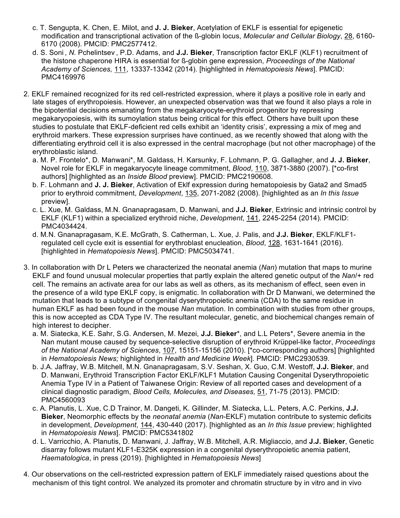- c. T. Sengupta, K. Chen, E. Milot, and **J. J. Bieker**, Acetylation of EKLF is essential for epigenetic modification and transcriptional activation of the ß-globin locus, *Molecular and Cellular Biology*, 28, 6160- 6170 (2008). PMCID: PMC2577412.
- d. S. Soni , *N.* Pchelintsev , P.D. Adams, and **J.J. Bieker**, Transcription factor EKLF (KLF1) recruitment of the histone chaperone HIRA is essential for ß-globin gene expression, *Proceedings of the National Academy of Sciences,* 111, 13337-13342 (2014). [highlighted in *Hematopoiesis News*]. PMCID: PMC4169976
- 2. EKLF remained recognized for its red cell-restricted expression, where it plays a positive role in early and late stages of erythropoiesis. However, an unexpected observation was that we found it also plays a role in the bipotential decisions emanating from the megakaryocyte-erythroid progenitor by repressing megakaryopoiesis, with its sumoylation status being critical for this effect. Others have built upon these studies to postulate that EKLF-deficient red cells exhibit an 'identity crisis', expressing a mix of meg and erythroid markers. These expression surprises have continued, as we recently showed that along with the differentiating erythroid cell it is also expressed in the central macrophage (but not other macrophage) of the erythroblastic island.
	- a. M. P. Frontelo\*, D. Manwani\*, M. Galdass, H. Karsunky, F. Lohmann, P. G. Gallagher, and **J. J. Bieker**, Novel role for EKLF in megakaryocyte lineage commitment, *Blood*, 110, 3871-3880 (2007). [\*co-first authors] [highlighted as an *Inside Blood* preview]. PMCID: PMC2190608.
	- b. F. Lohmann and **J. J. Bieker**, Activation of Eklf expression during hematopoiesis by Gata2 and Smad5 prior to erythroid commitment, *Development*, 135, 2071-2082 (2008). [highlighted as an *In this Issue* preview].
	- c. L. Xue, M. Galdass, M.N. Gnanapragasam, D. Manwani, and **J.J. Bieker**, Extrinsic and intrinsic control by EKLF (KLF1) within a specialized erythroid niche, *Development*, 141, 2245-2254 (2014). PMCID: PMC4034424.
	- d. M.N. Gnanapragasam, K.E. McGrath, S. Catherman, L. Xue, J. Palis, and **J.J. Bieker**, EKLF/KLF1 regulated cell cycle exit is essential for erythroblast enucleation, *Blood*, 128, 1631-1641 (2016). [highlighted in *Hematopoiesis News*]. PMCID: PMC5034741.
- 3. In collaboration with Dr L Peters we characterized the neonatal anemia (*Nan*) mutation that maps to murine EKLF and found unusual molecular properties that partly explain the altered genetic output of the *Nan*/+ red cell. The remains an activate area for our labs as well as others, as its mechanism of effect, seen even in the presence of a wild type EKLF copy, is enigmatic. In collaboration with Dr D Manwani, we determined the mutation that leads to a subtype of congenital dyserythropoietic anemia (CDA) to the same residue in human EKLF as had been found in the mouse *Nan* mutation. In combination with studies from other groups, this is now accepted as CDA Type IV. The resultant molecular, genetic, and biochemical changes remain of high interest to decipher.
	- a. M. Siatecka, K.E. Sahr, S.G. Andersen, M. Mezei, **J.J. Bieker**\*, and L.L Peters\*, Severe anemia in the Nan mutant mouse caused by sequence-selective disruption of erythroid Krüppel-like factor, *Proceedings of the National Academy of Sciences*, 107, 15151-15156 (2010). [\*co-corresponding authors] [highlighted in *Hematopoiesis News;* highlighted in *Health and Medicine Week*]. PMCID: PMC2930539.
	- b. J.A. Jaffray, W.B. Mitchell, M.N. Gnanapragasam, S.V. Seshan, X. Guo, C.M. Westoff, **J.J. Bieker**, and D. Manwani, Erythroid Transcription Factor EKLF/KLF1 Mutation Causing Congenital Dyserythropoietic Anemia Type IV in a Patient of Taiwanese Origin: Review of all reported cases and development of a clinical diagnostic paradigm, *Blood Cells, Molecules, and Diseases,* 51, 71-75 (2013). PMCID: PMC4560093
	- c. A. Planutis, L. Xue, C.D Trainor, M. Dangeti, K. Gillinder, M. Siatecka, L.L. Peters, A.C. Perkins, **J.J. Bieker**, Neomorphic effects by the *neonatal anemia* (*Nan*-EKLF) mutation contribute to systemic deficits in development, *Development*, 144, 430-440 (2017). [highlighted as an *In this Issue* preview; highlighted in *Hematopoiesis News*]. PMCID: PMC5341802
	- d. L. Varricchio, A. Planutis, D. Manwani, J. Jaffray, W.B. Mitchell, A.R. Migliaccio, and **J.J. Bieker**, Genetic disarray follows mutant KLF1-E325K expression in a congenital dyserythropoietic anemia patient, *Haematologica*, in press (2019). [highlighted in *Hematopoiesis News*]
- 4. Our observations on the cell-restricted expression pattern of EKLF immediately raised questions about the mechanism of this tight control. We analyzed its promoter and chromatin structure by in vitro and in vivo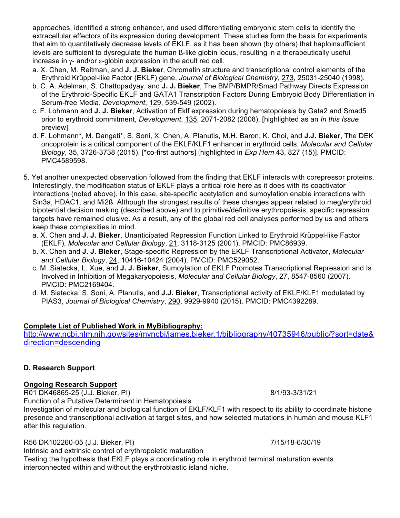approaches, identified a strong enhancer, and used differentiating embryonic stem cells to identify the extracellular effectors of its expression during development. These studies form the basis for experiments that aim to quantitatively decrease levels of EKLF, as it has been shown (by others) that haploinsufficient levels are sufficient to dysregulate the human ß-like globin locus, resulting in a therapeutically useful increase in  $γ$ - and/or ε-globin expression in the adult red cell.

- a. X. Chen, M. Reitman, and **J. J. Bieker**, Chromatin structure and transcriptional control elements of the Erythroid Krüppel-like Factor (EKLF) gene, *Journal of Biological Chemistry*, 273, 25031-25040 (1998).
- b. C. A. Adelman, S. Chattopadyay, and **J. J. Bieker**, The BMP/BMPR/Smad Pathway Directs Expression of the Erythroid-Specific EKLF and GATA1 Transcription Factors During Embryoid Body Differentiation in Serum-free Media, *Development*, 129, 539-549 (2002).
- c. F. Lohmann and **J. J. Bieker**, Activation of Eklf expression during hematopoiesis by Gata2 and Smad5 prior to erythroid commitment, *Development*, 135, 2071-2082 (2008). [highlighted as an *In this Issue* preview]
- d. F. Lohmann\*, M. Dangeti\*, S. Soni, X. Chen, A. Planutis, M.H. Baron, K. Choi, and **J.J. Bieker**, The DEK oncoprotein is a critical component of the EKLF/KLF1 enhancer in erythroid cells, *Molecular and Cellular Biology*, 35, 3726-3738 (2015). [\*co-first authors] [highlighted in *Exp Hem* 43, 827 (15)]. PMCID: PMC4589598.
- 5. Yet another unexpected observation followed from the finding that EKLF interacts with corepressor proteins. Interestingly, the modification status of EKLF plays a critical role here as it does with its coactivator interactions (noted above). In this case, site-specific acetylation and sumoylation enable interactions with Sin3a, HDAC1, and Mi2ß. Although the strongest results of these changes appear related to meg/erythroid bipotential decision making (described above) and to primitive/definitive erythropoiesis, specific repression targets have remained elusive. As a result, any of the global red cell analyses performed by us and others keep these complexities in mind.
	- a. X. Chen and **J. J. Bieker**, Unanticipated Repression Function Linked to Erythroid Krüppel-like Factor (EKLF), *Molecular and Cellular Biology*, 21, 3118-3125 (2001). PMCID: PMC86939.
	- b. X. Chen and **J. J. Bieker**, Stage-specific Repression by the EKLF Transcriptional Activator, *Molecular and Cellular Biology*, 24, 10416-10424 (2004). PMCID: PMC529052.
	- c. M. Siatecka, L. Xue, and **J. J. Bieker**, Sumoylation of EKLF Promotes Transcriptional Repression and Is Involved in Inhibition of Megakaryopoiesis, *Molecular and Cellular Biology*, 27, 8547-8560 (2007). PMCID: PMC2169404.
	- d. M. Siatecka, S. Soni, A. Planutis, and **J.J. Bieker**, Transcriptional activity of EKLF/KLF1 modulated by PIAS3, *Journal of Biological Chemistry*, 290, 9929-9940 (2015). PMCID: PMC4392289.

# **Complete List of Published Work in MyBibliography:**

http://www.ncbi.nlm.nih.gov/sites/myncbi/james.bieker.1/bibliography/40735946/public/?sort=date& direction=descending

## **D. Research Support**

# **Ongoing Research Support**

R01 DK46865-25 (J.J. Bieker, PI) 8/1/93-3/31/21 Function of a Putative Determinant in Hematopoiesis

Investigation of molecular and biological function of EKLF/KLF1 with respect to its ability to coordinate histone presence and transcriptional activation at target sites, and how selected mutations in human and mouse KLF1 alter this regulation.

R56 DK102260-05 (J.J. Bieker, PI) 7/15/18-6/30/19

Intrinsic and extrinsic control of erythropoietic maturation

Testing the hypothesis that EKLF plays a coordinating role in erythroid terminal maturation events interconnected within and without the erythroblastic island niche.